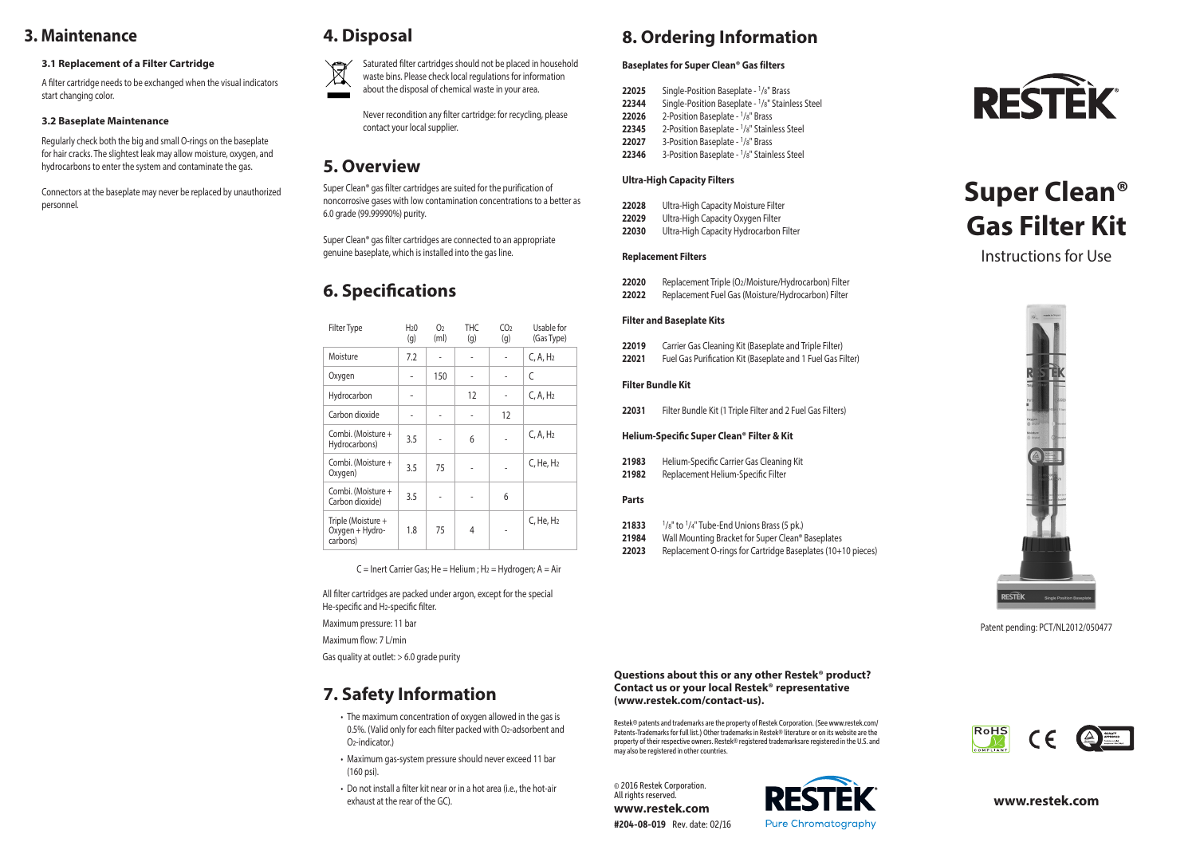# **3. Maintenance**

### **3.1 Replacement of a Filter Cartridge**

A filter cartridge needs to be exchanged when the visual indicators start changing color.

### **3.2 Baseplate Maintenance**

Regularly check both the big and small O-rings on the baseplate for hair cracks. The slightest leak may allow moisture, oxygen, and hydrocarbons to enter the system and contaminate the gas.

Connectors at the baseplate may never be replaced by unauthorized personnel.



**4. Disposal**

Saturated filter cartridges should not be placed in household waste bins. Please check local regulations for information

about the disposal of chemical waste in your area.

Never recondition any filter cartridge: for recycling, please contact your local supplier.

## **5. Overview**

Super Clean® gas filter cartridges are suited for the purification of noncorrosive gases with low contamination concentrations to a better as 6.0 grade (99.99990%) purity.

Super Clean® gas filter cartridges are connected to an appropriate genuine baseplate, which is installed into the gas line.

# **6. Specifications**

| <b>Filter Type</b>                                | H <sub>2</sub> 0<br>(g) | O <sub>2</sub><br>(m <sub>l</sub> ) | THC<br>(g) | CO <sub>2</sub><br>(g) | Usable for<br>(Gas Type) |
|---------------------------------------------------|-------------------------|-------------------------------------|------------|------------------------|--------------------------|
| Moisture                                          | 7.2                     |                                     |            |                        | C, A, H <sub>2</sub>     |
| Oxygen                                            |                         | 150                                 |            |                        | C                        |
| Hydrocarbon                                       |                         |                                     | 12         |                        | C, A, H <sub>2</sub>     |
| Carbon dioxide                                    |                         |                                     |            | 12                     |                          |
| Combi. (Moisture +<br>Hydrocarbons)               | 3.5                     |                                     | 6          |                        | C, A, H <sub>2</sub>     |
| Combi. (Moisture +<br>Oxygen)                     | 3.5                     | 75                                  |            |                        | C, He, H <sub>2</sub>    |
| Combi. (Moisture +<br>Carbon dioxide)             | 3.5                     |                                     |            | 6                      |                          |
| Triple (Moisture +<br>Oxygen + Hydro-<br>carbons) | 1.8                     | 75                                  | 4          |                        | C, He, H <sub>2</sub>    |

 $C =$  Inert Carrier Gas; He = Helium ; H<sub>2</sub> = Hydrogen; A = Air

All filter cartridges are packed under argon, except for the special He-specific and H2-specific filter.

Maximum pressure: 11 bar

Maximum flow: 7 L/min

Gas quality at outlet: > 6.0 grade purity

# **7. Safety Information**

- The maximum concentration of oxygen allowed in the gas is 0.5%. (Valid only for each filter packed with O2-adsorbent and O2-indicator.)
- Maximum gas-system pressure should never exceed 11 bar (160 psi).
- Do not install a filter kit near or in a hot area (i.e., the hot-air exhaust at the rear of the GC).

# **8. Ordering Information**

### **Baseplates for Super Clean® Gas filters**

- **22025** Single-Position Baseplate <sup>1</sup>/8" Brass<br>**22344** Single-Position Baseplate <sup>1</sup>/8" Stain **22344** Single-Position Baseplate - 1/8" Stainless Steel
- **22026** 2-Position Baseplate <sup>1</sup>/8" Brass
- **22345** 2-Position Baseplate 1/8" Stainless Steel
- 22027 3-Position Baseplate <sup>1</sup>/8" Brass
- **22346** 3-Position Baseplate 1/8" Stainless Steel

### **Ultra-High Capacity Filters**

| 22028 | Ultra-High Capacity Moisture Filter |
|-------|-------------------------------------|
| 22029 | Ultra-High Capacity Oxygen Filter   |

**22030** Ultra-High Capacity Hydrocarbon Filter

### **Replacement Filters**

- **22020** Replacement Triple (O2/Moisture/Hydrocarbon) Filter **22022** Replacement Fuel Gas (Moisture/Hydrocarbon) Filter
- **Filter and Baseplate Kits**
- **22019** Carrier Gas Cleaning Kit (Baseplate and Triple Filter)
- **22021** Fuel Gas Purification Kit (Baseplate and 1 Fuel Gas Filter)

### **Filter Bundle Kit**

**22031** Filter Bundle Kit (1 Triple Filter and 2 Fuel Gas Filters)

### **Helium-Specific Super Clean® Filter & Kit**

| 21983 | Helium-Specific Carrier Gas Cleaning Kit |
|-------|------------------------------------------|
| 21982 | Replacement Helium-Specific Filter       |

### **Parts**

- **21833** 1/8" to 1/4" Tube-End Unions Brass (5 pk.)
- **21984** Wall Mounting Bracket for Super Clean® Baseplates
- **22023** Replacement O-rings for Cartridge Baseplates (10+10 pieces)



# **Super Clean® Gas Filter Kit**

Instructions for Use



Patent pending: PCT/NL2012/050477

### **Questions about this or any other Restek® product? Contact us or your local Restek® representative (www.restek.com/contact-us).**

Restek® patents and trademarks are the property of Restek Corporation. (See www.restek.com/ Patents-Trademarks for full list.) Other trademarks in Restek® literature or on its website are the property of their respective owners. Restek® registered trademarksare registered in the U.S. and may also be registered in other countries.

© 2016 Restek Corporation. All rights reserved. **www.restek.com**







**www.restek.com**

| <b>Filter Type</b>                                | H <sub>2</sub> 0<br>(g) | O <sub>2</sub><br>(m <sub>l</sub> ) | THC<br>(g) | CO <sub>2</sub><br>(g) | Usable for<br>(Gas Type) |
|---------------------------------------------------|-------------------------|-------------------------------------|------------|------------------------|--------------------------|
| Moisture                                          | 7.2                     |                                     |            |                        | C, A, H <sub>2</sub>     |
| Oxygen                                            |                         | 150                                 |            |                        | C                        |
| Hydrocarbon                                       |                         |                                     | 12         |                        | C, A, H <sub>2</sub>     |
| Carbon dioxide                                    |                         |                                     |            | 12                     |                          |
| Combi. (Moisture +<br>Hydrocarbons)               | 3.5                     |                                     | 6          |                        | C, A, H <sub>2</sub>     |
| Combi. (Moisture +<br>Oxygen)                     | 3.5                     | 75                                  |            |                        | C, He, H <sub>2</sub>    |
| Combi. (Moisture +<br>Carbon dioxide)             | 3.5                     |                                     |            | 6                      |                          |
| Triple (Moisture +<br>Oxygen + Hydro-<br>المسماسم | 1.8                     | 75                                  | 4          |                        | C, He, H <sub>2</sub>    |